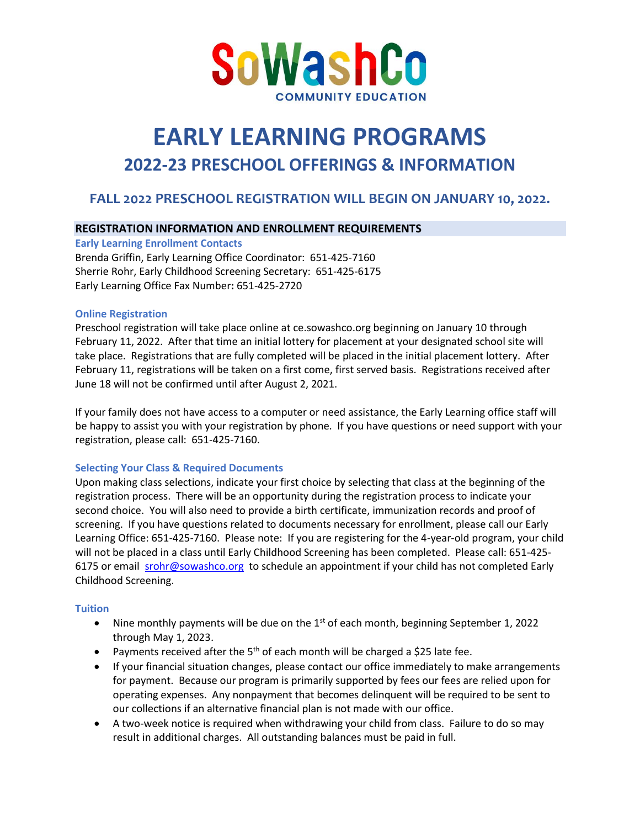

# **EARLY LEARNING PROGRAMS 2022-23 PRESCHOOL OFFERINGS & INFORMATION**

# **FALL 2022 PRESCHOOL REGISTRATION WILL BEGIN ON JANUARY 10, 2022.**

## **REGISTRATION INFORMATION AND ENROLLMENT REQUIREMENTS**

**Early Learning Enrollment Contacts**

Brenda Griffin, Early Learning Office Coordinator: 651-425-7160 Sherrie Rohr, Early Childhood Screening Secretary: 651-425-6175 Early Learning Office Fax Number**:** 651-425-2720

#### **Online Registration**

Preschool registration will take place online at ce.sowashco.org beginning on January 10 through February 11, 2022. After that time an initial lottery for placement at your designated school site will take place. Registrations that are fully completed will be placed in the initial placement lottery. After February 11, registrations will be taken on a first come, first served basis. Registrations received after June 18 will not be confirmed until after August 2, 2021.

If your family does not have access to a computer or need assistance, the Early Learning office staff will be happy to assist you with your registration by phone. If you have questions or need support with your registration, please call: 651-425-7160.

#### **Selecting Your Class & Required Documents**

Upon making class selections, indicate your first choice by selecting that class at the beginning of the registration process. There will be an opportunity during the registration process to indicate your second choice. You will also need to provide a birth certificate, immunization records and proof of screening. If you have questions related to documents necessary for enrollment, please call our Early Learning Office: 651-425-7160. Please note: If you are registering for the 4-year-old program, your child will not be placed in a class until Early Childhood Screening has been completed. Please call: 651-425 6175 or email [srohr@sowashco.org](mailto:srohr@sowashco.org) to schedule an appointment if your child has not completed Early Childhood Screening.

#### **Tuition**

- Nine monthly payments will be due on the  $1<sup>st</sup>$  of each month, beginning September 1, 2022 through May 1, 2023.
- Payments received after the  $5<sup>th</sup>$  of each month will be charged a \$25 late fee.
- If your financial situation changes, please contact our office immediately to make arrangements for payment. Because our program is primarily supported by fees our fees are relied upon for operating expenses. Any nonpayment that becomes delinquent will be required to be sent to our collections if an alternative financial plan is not made with our office.
- A two-week notice is required when withdrawing your child from class. Failure to do so may result in additional charges. All outstanding balances must be paid in full.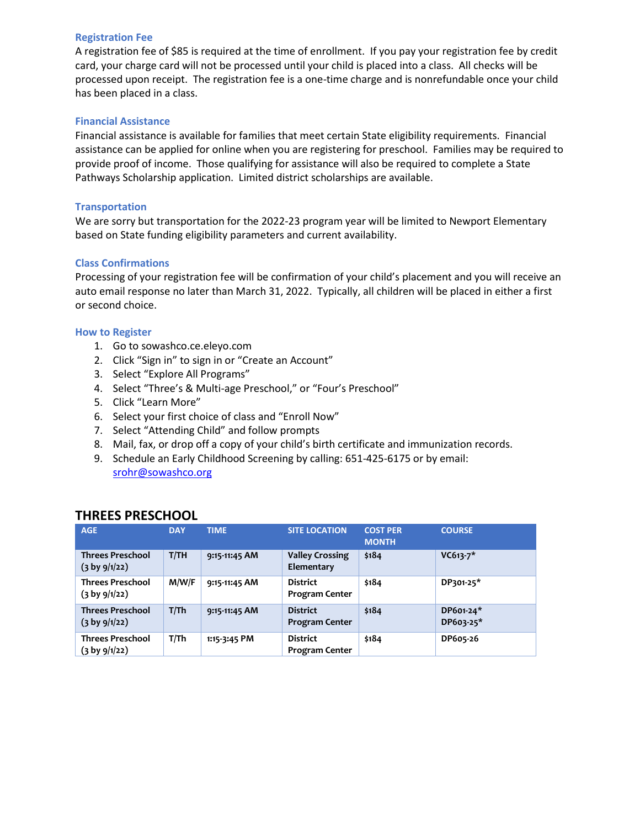#### **Registration Fee**

A registration fee of \$85 is required at the time of enrollment. If you pay your registration fee by credit card, your charge card will not be processed until your child is placed into a class. All checks will be processed upon receipt. The registration fee is a one-time charge and is nonrefundable once your child has been placed in a class.

#### **Financial Assistance**

Financial assistance is available for families that meet certain State eligibility requirements. Financial assistance can be applied for online when you are registering for preschool. Families may be required to provide proof of income. Those qualifying for assistance will also be required to complete a State Pathways Scholarship application. Limited district scholarships are available.

#### **Transportation**

We are sorry but transportation for the 2022-23 program year will be limited to Newport Elementary based on State funding eligibility parameters and current availability.

#### **Class Confirmations**

Processing of your registration fee will be confirmation of your child's placement and you will receive an auto email response no later than March 31, 2022. Typically, all children will be placed in either a first or second choice.

#### **How to Register**

- 1. Go to sowashco.ce.eleyo.com
- 2. Click "Sign in" to sign in or "Create an Account"
- 3. Select "Explore All Programs"
- 4. Select "Three's & Multi-age Preschool," or "Four's Preschool"
- 5. Click "Learn More"
- 6. Select your first choice of class and "Enroll Now"
- 7. Select "Attending Child" and follow prompts
- 8. Mail, fax, or drop off a copy of your child's birth certificate and immunization records.
- 9. Schedule an Early Childhood Screening by calling: 651-425-6175 or by email: [srohr@sowashco.org](mailto:srohr@sowashco.org)

## **THREES PRESCHOOL**

| <b>AGE</b>                                          | <b>DAY</b> | <b>TIME</b>   | <b>SITE LOCATION</b>                     | <b>COST PER</b><br><b>MONTH</b> | <b>COURSE</b>          |
|-----------------------------------------------------|------------|---------------|------------------------------------------|---------------------------------|------------------------|
| <b>Threes Preschool</b><br>$(3 \text{ by } 9/1/22)$ | T/TH       | 9:15-11:45 AM | <b>Valley Crossing</b><br>Elementary     | \$184                           | $VC613-7*$             |
| <b>Threes Preschool</b><br>$(3 \text{ by } 9/1/22)$ | M/W/F      | 9:15-11:45 AM | <b>District</b><br><b>Program Center</b> | \$184                           | DP301-25*              |
| <b>Threes Preschool</b><br>$(3 \text{ by } 9/1/22)$ | T/Th       | 9:15-11:45 AM | <b>District</b><br><b>Program Center</b> | \$184                           | DP601-24*<br>DP603-25* |
| <b>Threes Preschool</b><br>(3 by 9/1/22)            | T/Th       | 1:15-3:45 PM  | <b>District</b><br><b>Program Center</b> | \$184                           | DP605-26               |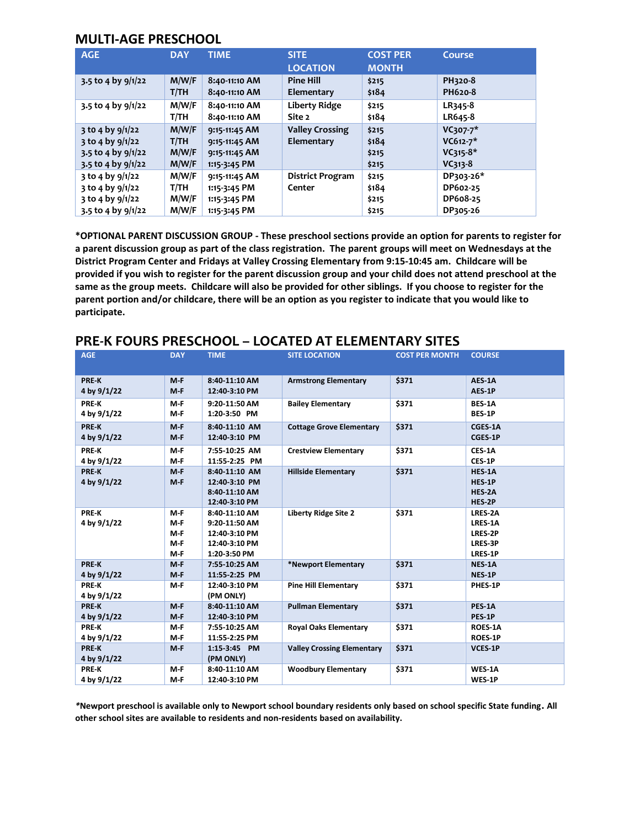## **MULTI-AGE PRESCHOOL**

| <b>AGE</b>                                                                                   | <b>DAY</b>                      | <b>TIME</b>                                                     | <b>SITE</b><br><b>LOCATION</b>       | <b>COST PER</b><br><b>MONTH</b>  | Course                                              |
|----------------------------------------------------------------------------------------------|---------------------------------|-----------------------------------------------------------------|--------------------------------------|----------------------------------|-----------------------------------------------------|
| 3.5 to 4 by $9/1/22$                                                                         | M/W/F<br>T/TH                   | 8:40-11:10 AM<br>8:40-11:10 AM                                  | <b>Pine Hill</b><br>Elementary       | \$215<br>\$184                   | PH320-8<br>PH620-8                                  |
| 3.5 to 4 by $9/1/22$                                                                         | M/W/F<br>T/TH                   | 8:40-11:10 AM<br>8:40-11:10 AM                                  | Liberty Ridge<br>Site 2              | \$215<br>\$184                   | LR345-8<br>LR645-8                                  |
| $3$ to 4 by $9/1/22$<br>$3$ to 4 by $9/1/22$<br>3.5 to 4 by $9/1/22$<br>3.5 to 4 by $9/1/22$ | M/W/F<br>T/TH<br>M/W/F<br>M/W/F | 9:15-11:45 AM<br>9:15-11:45 AM<br>9:15-11:45 AM<br>1:15-3:45 PM | <b>Valley Crossing</b><br>Elementary | \$215<br>\$184<br>\$215<br>\$215 | $VC307-7*$<br>$VC612-7*$<br>$VC315-8*$<br>$VC313-8$ |
| 3 to 4 by 9/1/22<br>$3$ to 4 by $9/1/22$<br>3 to 4 by 9/1/22<br>3.5 to 4 by $9/1/22$         | M/W/F<br>T/TH<br>M/W/F<br>M/W/F | 9:15-11:45 AM<br>1:15-3:45 PM<br>1:15-3:45 PM<br>1:15-3:45 PM   | <b>District Program</b><br>Center    | \$215<br>\$184<br>\$215<br>\$215 | DP303-26*<br>DP602-25<br>DP608-25<br>DP305-26       |

**\*OPTIONAL PARENT DISCUSSION GROUP - These preschool sections provide an option for parents to register for a parent discussion group as part of the class registration. The parent groups will meet on Wednesdays at the District Program Center and Fridays at Valley Crossing Elementary from 9:15-10:45 am. Childcare will be provided if you wish to register for the parent discussion group and your child does not attend preschool at the same as the group meets. Childcare will also be provided for other siblings. If you choose to register for the parent portion and/or childcare, there will be an option as you register to indicate that you would like to participate.**

| <b>AGE</b>   | <b>DAY</b> | <b>TIME</b>   | <b>SITE LOCATION</b>              | <b>COST PER MONTH</b> | <b>COURSE</b>  |
|--------------|------------|---------------|-----------------------------------|-----------------------|----------------|
|              |            |               |                                   |                       |                |
|              |            |               |                                   |                       |                |
| PRE-K        | $M - F$    | 8:40-11:10 AM | <b>Armstrong Elementary</b>       | \$371                 | AES-1A         |
| 4 by 9/1/22  | $M-F$      | 12:40-3:10 PM |                                   |                       | AES-1P         |
| <b>PRE-K</b> | M-F        | 9:20-11:50 AM | <b>Bailey Elementary</b>          | \$371                 | <b>BES-1A</b>  |
| 4 by 9/1/22  | M-F        | 1:20-3:50 PM  |                                   |                       | <b>BES-1P</b>  |
| <b>PREK</b>  | $M - F$    | 8:40-11:10 AM | <b>Cottage Grove Elementary</b>   | \$371                 | CGES-1A        |
| 4 by 9/1/22  | $M - F$    | 12:40-3:10 PM |                                   |                       | CGES-1P        |
| <b>PREK</b>  | M-F        | 7:55-10:25 AM | <b>Crestview Elementary</b>       | \$371                 | CES-1A         |
| 4 by 9/1/22  | M-F        | 11:55-2:25 PM |                                   |                       | CES-1P         |
| PRE-K        | $M - F$    | 8:40-11:10 AM | <b>Hillside Elementary</b>        | \$371                 | HES-1A         |
| 4 by 9/1/22  | $M - F$    | 12:40-3:10 PM |                                   |                       | HES-1P         |
|              |            | 8:40-11:10 AM |                                   |                       | HES-2A         |
|              |            | 12:40-3:10 PM |                                   |                       | HES-2P         |
| <b>PRE-K</b> | M-F        | 8:40-11:10 AM | Liberty Ridge Site 2              | \$371                 | LRES-2A        |
| 4 by 9/1/22  | M-F        | 9:20-11:50 AM |                                   |                       | LRES-1A        |
|              | M-F        | 12:40-3:10 PM |                                   |                       | LRES-2P        |
|              | M-F        | 12:40-3:10 PM |                                   |                       | LRES-3P        |
|              | M-F        | 1:20-3:50 PM  |                                   |                       | LRES-1P        |
| <b>PREK</b>  | $M-F$      | 7:55-10:25 AM | *Newport Elementary               | \$371                 | <b>NES-1A</b>  |
| 4 by 9/1/22  | $M-F$      | 11:55-2:25 PM |                                   |                       | NES-1P         |
| <b>PREK</b>  | M-F        | 12:40-3:10 PM | <b>Pine Hill Elementary</b>       | \$371                 | PHES-1P        |
| 4 by 9/1/22  |            | (PM ONLY)     |                                   |                       |                |
| <b>PREK</b>  | $M - F$    | 8:40-11:10 AM | <b>Pullman Elementary</b>         | \$371                 | PES-1A         |
| 4 by 9/1/22  | $M-F$      | 12:40-3:10 PM |                                   |                       | PES-1P         |
| <b>PRE-K</b> | M-F        | 7:55-10:25 AM | <b>Royal Oaks Elementary</b>      | \$371                 | ROES-1A        |
| 4 by 9/1/22  | M-F        | 11:55-2:25 PM |                                   |                       | <b>ROES-1P</b> |
| PRE-K        | $M - F$    | 1:15-3:45 PM  | <b>Valley Crossing Elementary</b> | \$371                 | <b>VCES 1P</b> |
| 4 by 9/1/22  |            | (PM ONLY)     |                                   |                       |                |
| <b>PRE-K</b> | M-F        | 8:40-11:10 AM | <b>Woodbury Elementary</b>        | \$371                 | WES-1A         |
| 4 by 9/1/22  | M-F        | 12:40-3:10 PM |                                   |                       | WES-1P         |

## **PRE-K FOURS PRESCHOOL – LOCATED AT ELEMENTARY SITES**

*\****Newport preschool is available only to Newport school boundary residents only based on school specific State funding. All other school sites are available to residents and non-residents based on availability.**